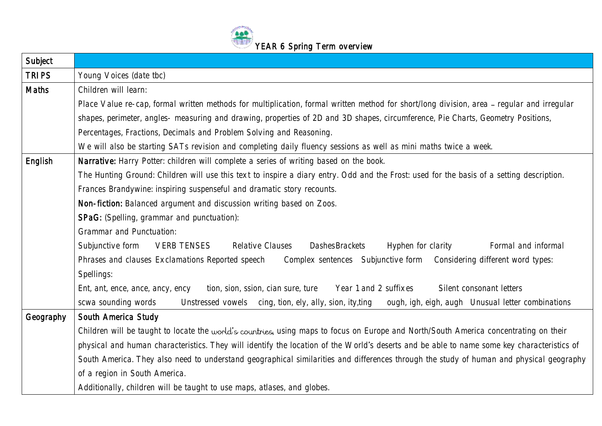

| Subject      |                                                                                                                                            |
|--------------|--------------------------------------------------------------------------------------------------------------------------------------------|
| <b>TRIPS</b> | Young Voices (date tbc)                                                                                                                    |
| Maths        | Children will learn:                                                                                                                       |
|              | Place Value re-cap, formal written methods for multiplication, formal written method for short/long division, area – regular and irregular |
|              | shapes, perimeter, angles- measuring and drawing, properties of 2D and 3D shapes, circumference, Pie Charts, Geometry Positions,           |
|              | Percentages, Fractions, Decimals and Problem Solving and Reasoning.                                                                        |
|              | We will also be starting SATs revision and completing daily fluency sessions as well as mini maths twice a week.                           |
| English      | Narrative: Harry Potter: children will complete a series of writing based on the book.                                                     |
|              | The Hunting Ground: Children will use this text to inspire a diary entry. Odd and the Frost: used for the basis of a setting description.  |
|              | Frances Brandywine: inspiring suspenseful and dramatic story recounts.                                                                     |
|              | Non-fiction: Balanced argument and discussion writing based on Zoos.                                                                       |
|              | SPaG: (Spelling, grammar and punctuation):                                                                                                 |
|              | Grammar and Punctuation:                                                                                                                   |
|              | Subjunctive form VERB TENSES Relative Clauses Dashes Brackets<br>Hyphen for clarity<br>Formal and informal                                 |
|              | Phrases and clauses Exclamations Reported speech<br>Complex sentences Subjunctive form Considering different word types:                   |
|              | Spellings:                                                                                                                                 |
|              | Silent consonant letters<br>Ent, ant, ence, ance, ancy, ency<br>tion, sion, ssion, cian sure, ture<br>Year 1 and 2 suffixes                |
|              | scwa sounding words<br>Unstressed vowels cing, tion, ely, ally, sion, ity, ting<br>ough, igh, eigh, augh Unusual letter combinations       |
| Geography    | South America Study                                                                                                                        |
|              | Children will be taught to locate the world's countries, using maps to focus on Europe and North/South America concentrating on their      |
|              | physical and human characteristics. They will identify the location of the World's deserts and be able to name some key characteristics of |
|              | South America. They also need to understand geographical similarities and differences through the study of human and physical geography    |
|              | of a region in South America.                                                                                                              |
|              | Additionally, children will be taught to use maps, atlases, and globes.                                                                    |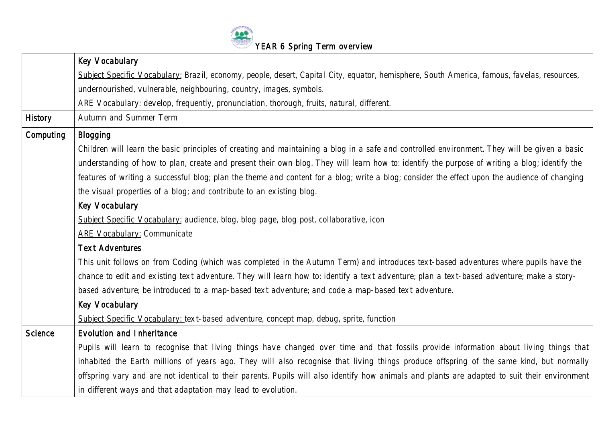

|                | Key Vocabulary                                                                                                                                |
|----------------|-----------------------------------------------------------------------------------------------------------------------------------------------|
|                | Subject Specific Vocabulary: Brazil, economy, people, desert, Capital City, equator, hemisphere, South America, famous, favelas, resources,   |
|                | undernourished, vulnerable, neighbouring, country, images, symbols.                                                                           |
|                | ARE Vocabulary: develop, frequently, pronunciation, thorough, fruits, natural, different.                                                     |
| History        | Autumn and Summer Term                                                                                                                        |
| Computing      | Blogging                                                                                                                                      |
|                | Children will learn the basic principles of creating and maintaining a blog in a safe and controlled environment. They will be given a basic  |
|                | understanding of how to plan, create and present their own blog. They will learn how to: identify the purpose of writing a blog; identify the |
|                | features of writing a successful blog; plan the theme and content for a blog; write a blog; consider the effect upon the audience of changing |
|                | the visual properties of a blog; and contribute to an existing blog.                                                                          |
|                | Key Vocabulary                                                                                                                                |
|                | Subject Specific Vocabulary: audience, blog, blog page, blog post, collaborative, icon                                                        |
|                | <b>ARE Vocabulary: Communicate</b>                                                                                                            |
|                | <b>Text Adventures</b>                                                                                                                        |
|                | This unit follows on from Coding (which was completed in the Autumn Term) and introduces text-based adventures where pupils have the          |
|                | chance to edit and existing text adventure. They will learn how to: identify a text adventure; plan a text-based adventure; make a story-     |
|                | based adventure; be introduced to a map-based text adventure; and code a map-based text adventure.                                            |
|                | Key Vocabulary                                                                                                                                |
|                | Subject Specific Vocabulary: text-based adventure, concept map, debug, sprite, function                                                       |
| <b>Science</b> | Evolution and Inheritance                                                                                                                     |
|                | Pupils will learn to recognise that living things have changed over time and that fossils provide information about living things that        |
|                | inhabited the Earth millions of years ago. They will also recognise that living things produce offspring of the same kind, but normally       |
|                | offspring vary and are not identical to their parents. Pupils will also identify how animals and plants are adapted to suit their environment |
|                | in different ways and that adaptation may lead to evolution.                                                                                  |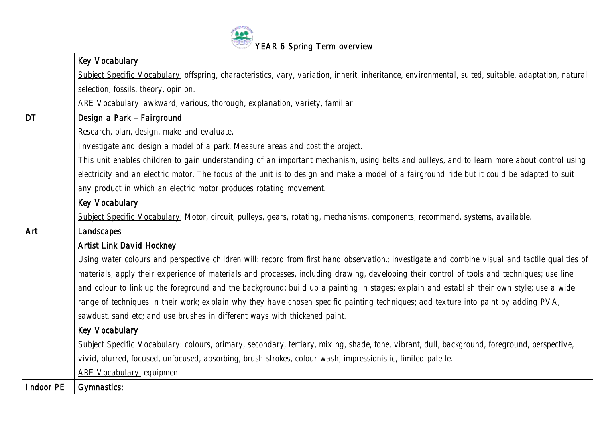

|           | Key Vocabulary                                                                                                                                       |
|-----------|------------------------------------------------------------------------------------------------------------------------------------------------------|
|           | Subject Specific Vocabulary: offspring, characteristics, vary, variation, inherit, inheritance, environmental, suited, suitable, adaptation, natural |
|           | selection, fossils, theory, opinion.                                                                                                                 |
|           | ARE Vocabulary: awkward, various, thorough, explanation, variety, familiar                                                                           |
| <b>DT</b> | Design a Park - Fairground                                                                                                                           |
|           | Research, plan, design, make and evaluate.                                                                                                           |
|           | Investigate and design a model of a park. Measure areas and cost the project.                                                                        |
|           | This unit enables children to gain understanding of an important mechanism, using belts and pulleys, and to learn more about control using           |
|           | electricity and an electric motor. The focus of the unit is to design and make a model of a fairground ride but it could be adapted to suit          |
|           | any product in which an electric motor produces rotating movement.                                                                                   |
|           | Key Vocabulary                                                                                                                                       |
|           | Subject Specific Vocabulary: Motor, circuit, pulleys, gears, rotating, mechanisms, components, recommend, systems, available.                        |
| Art       | Landscapes                                                                                                                                           |
|           | Artist Link David Hockney                                                                                                                            |
|           | Using water colours and perspective children will: record from first hand observation.; investigate and combine visual and tactile qualities of      |
|           | materials; apply their experience of materials and processes, including drawing, developing their control of tools and techniques; use line          |
|           | and colour to link up the foreground and the background; build up a painting in stages; explain and establish their own style; use a wide            |
|           | range of techniques in their work; explain why they have chosen specific painting techniques; add texture into paint by adding PVA,                  |
|           | sawdust, sand etc; and use brushes in different ways with thickened paint.                                                                           |
|           | Key Vocabulary                                                                                                                                       |
|           | Subject Specific Vocabulary: colours, primary, secondary, tertiary, mixing, shade, tone, vibrant, dull, background, foreground, perspective,         |
|           | vivid, blurred, focused, unfocused, absorbing, brush strokes, colour wash, impressionistic, limited palette.                                         |
|           | <b>ARE Vocabulary: equipment</b>                                                                                                                     |
| Indoor PE | Gymnastics:                                                                                                                                          |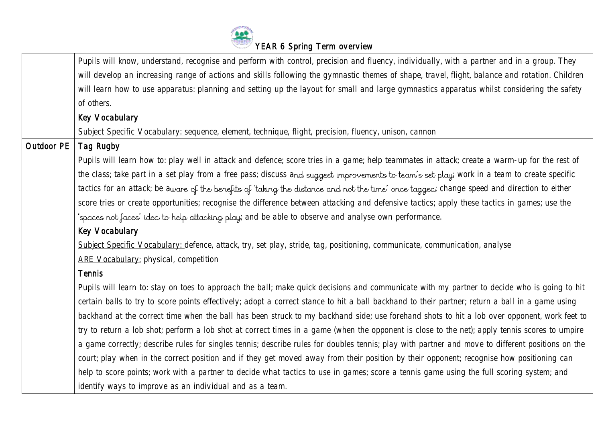

|            | Pupils will know, understand, recognise and perform with control, precision and fluency, individually, with a partner and in a group. They       |
|------------|--------------------------------------------------------------------------------------------------------------------------------------------------|
|            | will develop an increasing range of actions and skills following the gymnastic themes of shape, travel, flight, balance and rotation. Children   |
|            | will learn how to use apparatus: planning and setting up the layout for small and large gymnastics apparatus whilst considering the safety       |
|            | of others.                                                                                                                                       |
|            | Key Vocabulary                                                                                                                                   |
|            | Subject Specific Vocabulary: sequence, element, technique, flight, precision, fluency, unison, cannon                                            |
| Outdoor PE | Tag Rugby                                                                                                                                        |
|            | Pupils will learn how to: play well in attack and defence; score tries in a game; help teammates in attack; create a warm-up for the rest of     |
|            | the class; take part in a set play from a free pass; discuss and suggest improvements to team's set play; work in a team to create specific      |
|            | tactics for an attack; be aware of the benefits of 'taking the distance and not the time' once tagged; change speed and direction to either      |
|            | score tries or create opportunities; recognise the difference between attacking and defensive tactics; apply these tactics in games; use the     |
|            | 'spaces not faces' idea to help attacking play; and be able to observe and analyse own performance.                                              |
|            | Key Vocabulary                                                                                                                                   |
|            | Subject Specific Vocabulary: defence, attack, try, set play, stride, tag, positioning, communicate, communication, analyse                       |
|            | ARE Vocabulary: physical, competition                                                                                                            |
|            | <b>Tennis</b>                                                                                                                                    |
|            | Pupils will learn to: stay on toes to approach the ball; make quick decisions and communicate with my partner to decide who is going to hit      |
|            | certain balls to try to score points effectively; adopt a correct stance to hit a ball backhand to their partner; return a ball in a game using  |
|            | backhand at the correct time when the ball has been struck to my backhand side; use forehand shots to hit a lob over opponent, work feet to      |
|            | try to return a lob shot; perform a lob shot at correct times in a game (when the opponent is close to the net); apply tennis scores to umpire   |
|            | a game correctly; describe rules for singles tennis; describe rules for doubles tennis; play with partner and move to different positions on the |
|            | court; play when in the correct position and if they get moved away from their position by their opponent; recognise how positioning can         |
|            | help to score points; work with a partner to decide what tactics to use in games; score a tennis game using the full scoring system; and         |
|            | identify ways to improve as an individual and as a team.                                                                                         |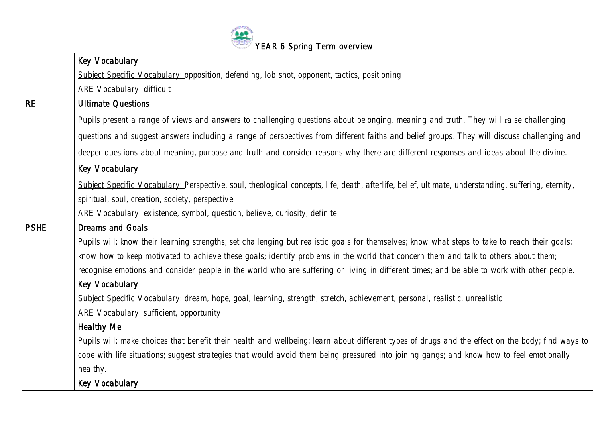

|             | Key Vocabulary                                                                                                                                      |
|-------------|-----------------------------------------------------------------------------------------------------------------------------------------------------|
|             | Subject Specific Vocabulary: opposition, defending, lob shot, opponent, tactics, positioning                                                        |
|             | <b>ARE Vocabulary: difficult</b>                                                                                                                    |
| <b>RE</b>   | <b>Ultimate Questions</b>                                                                                                                           |
|             | Pupils present a range of views and answers to challenging questions about belonging, meaning and truth. They will raise challenging                |
|             | questions and suggest answers including a range of perspectives from different faiths and belief groups. They will discuss challenging and          |
|             | deeper questions about meaning, purpose and truth and consider reasons why there are different responses and ideas about the divine.                |
|             | Key Vocabulary                                                                                                                                      |
|             | Subject Specific Vocabulary: Perspective, soul, theological concepts, life, death, afterlife, belief, ultimate, understanding, suffering, eternity, |
|             | spiritual, soul, creation, society, perspective                                                                                                     |
|             | ARE Vocabulary: existence, symbol, question, believe, curiosity, definite                                                                           |
| <b>PSHE</b> | Dreams and Goals                                                                                                                                    |
|             | Pupils will: know their learning strengths; set challenging but realistic goals for themselves; know what steps to take to reach their goals;       |
|             | know how to keep motivated to achieve these goals; identify problems in the world that concern them and talk to others about them;                  |
|             | recognise emotions and consider people in the world who are suffering or living in different times; and be able to work with other people.          |
|             | Key Vocabulary                                                                                                                                      |
|             | Subject Specific Vocabulary: dream, hope, goal, learning, strength, stretch, achievement, personal, realistic, unrealistic                          |
|             | <b>ARE Vocabulary: sufficient, opportunity</b>                                                                                                      |
|             | <b>Healthy Me</b>                                                                                                                                   |
|             | Pupils will: make choices that benefit their health and wellbeing; learn about different types of drugs and the effect on the body; find ways to    |
|             | cope with life situations; suggest strategies that would avoid them being pressured into joining gangs; and know how to feel emotionally            |
|             | healthy.                                                                                                                                            |
|             | Key Vocabulary                                                                                                                                      |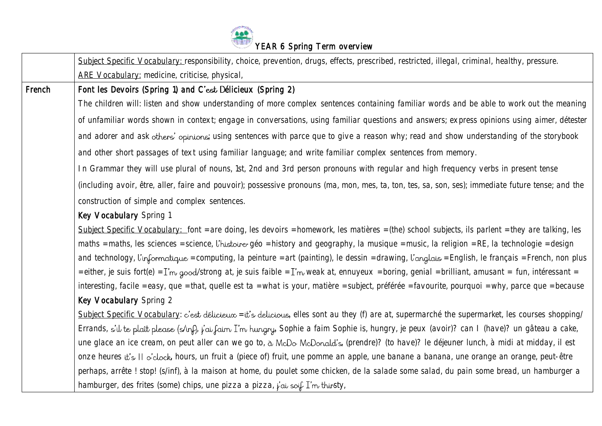

| ARE Vocabulary: medicine, criticise, physical,<br>French<br>Font les Devoirs (Spring 1) and C'est Délicieux (Spring 2)<br>The children will: listen and show understanding of more complex sentences containing familiar words and be able to work out the meaning<br>of unfamiliar words shown in context; engage in conversations, using familiar questions and answers; express opinions using aimer, détester<br>and adorer and ask others' opinions; using sentences with parce que to give a reason why; read and show understanding of the storybook<br>and other short passages of text using familiar language; and write familiar complex sentences from memory. |  |
|----------------------------------------------------------------------------------------------------------------------------------------------------------------------------------------------------------------------------------------------------------------------------------------------------------------------------------------------------------------------------------------------------------------------------------------------------------------------------------------------------------------------------------------------------------------------------------------------------------------------------------------------------------------------------|--|
|                                                                                                                                                                                                                                                                                                                                                                                                                                                                                                                                                                                                                                                                            |  |
|                                                                                                                                                                                                                                                                                                                                                                                                                                                                                                                                                                                                                                                                            |  |
|                                                                                                                                                                                                                                                                                                                                                                                                                                                                                                                                                                                                                                                                            |  |
|                                                                                                                                                                                                                                                                                                                                                                                                                                                                                                                                                                                                                                                                            |  |
|                                                                                                                                                                                                                                                                                                                                                                                                                                                                                                                                                                                                                                                                            |  |
|                                                                                                                                                                                                                                                                                                                                                                                                                                                                                                                                                                                                                                                                            |  |
| In Grammar they will use plural of nouns, 1st, 2nd and 3rd person pronouns with regular and high frequency verbs in present tense                                                                                                                                                                                                                                                                                                                                                                                                                                                                                                                                          |  |
| (including avoir, être, aller, faire and pouvoir); possessive pronouns (ma, mon, mes, ta, ton, tes, sa, son, ses); immediate future tense; and the                                                                                                                                                                                                                                                                                                                                                                                                                                                                                                                         |  |
| construction of simple and complex sentences.                                                                                                                                                                                                                                                                                                                                                                                                                                                                                                                                                                                                                              |  |
| Key Vocabulary Spring 1                                                                                                                                                                                                                                                                                                                                                                                                                                                                                                                                                                                                                                                    |  |
| Subject Specific Vocabulary: font = are doing, les devoirs = homework, les matières = (the) school subjects, ils parlent = they are talking, les                                                                                                                                                                                                                                                                                                                                                                                                                                                                                                                           |  |
| maths = maths, les sciences = science, l'histoire-géo = history and geography, la musique = music, la religion = RE, la technologie = design                                                                                                                                                                                                                                                                                                                                                                                                                                                                                                                               |  |
| and technology, l'informatique = computing, la peinture = art (painting), le dessin = drawing, l'anglais = English, le français = French, non plus                                                                                                                                                                                                                                                                                                                                                                                                                                                                                                                         |  |
| = either, je suis fort(e) = I'm good/strong at, je suis faible = I'm weak at, ennuyeux = boring, genial = brilliant, amusant = fun, intéressant =                                                                                                                                                                                                                                                                                                                                                                                                                                                                                                                          |  |
| interesting, facile = easy, que = that, quelle est ta = what is your, matière = subject, préférée = favourite, pourquoi = why, parce que = because                                                                                                                                                                                                                                                                                                                                                                                                                                                                                                                         |  |
| Key Vocabulary Spring 2                                                                                                                                                                                                                                                                                                                                                                                                                                                                                                                                                                                                                                                    |  |
| Subject Specific Vocabulary: c'est délicieux = it's delicious, elles sont au they (f) are at, supermarché the supermarket, les courses shopping/                                                                                                                                                                                                                                                                                                                                                                                                                                                                                                                           |  |
| Errands, s'il te plaît please (s/inf), j'ai faim I'm hungry, Sophie a faim Sophie is, hungry, je peux (avoir)? can I (have)? un gâteau a cake,                                                                                                                                                                                                                                                                                                                                                                                                                                                                                                                             |  |
| une glace an ice cream, on peut aller can we go to, à McDo McDonald's, (prendre)? (to have)? le déjeuner lunch, à midi at midday, il est                                                                                                                                                                                                                                                                                                                                                                                                                                                                                                                                   |  |
| onze heures it's II o'clock, hours, un fruit a (piece of) fruit, une pomme an apple, une banane a banana, une orange an orange, peut-être                                                                                                                                                                                                                                                                                                                                                                                                                                                                                                                                  |  |
| perhaps, arrête ! stop! (s/inf), à la maison at home, du poulet some chicken, de la salade some salad, du pain some bread, un hamburger a                                                                                                                                                                                                                                                                                                                                                                                                                                                                                                                                  |  |
| hamburger, des frites (some) chips, une pizza a pizza, $\vec{l}$ ai soif I'm thirsty,                                                                                                                                                                                                                                                                                                                                                                                                                                                                                                                                                                                      |  |